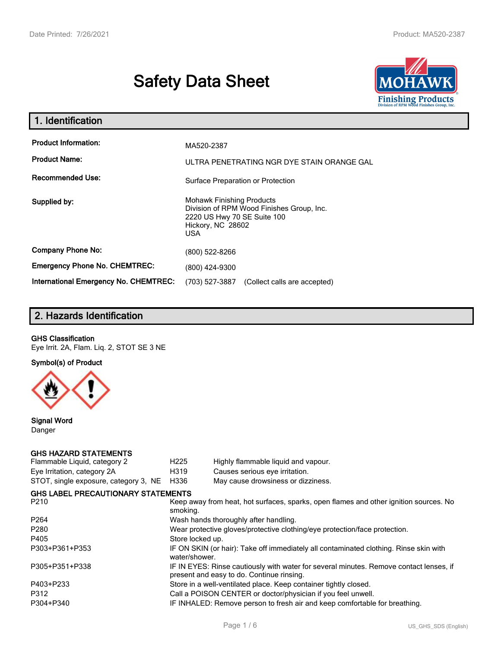# **Safety Data Sheet**



| 1. Identification                                   |                                                                                                                                                 |  |
|-----------------------------------------------------|-------------------------------------------------------------------------------------------------------------------------------------------------|--|
| <b>Product Information:</b><br><b>Product Name:</b> | MA520-2387<br>ULTRA PENETRATING NGR DYE STAIN ORANGE GAL                                                                                        |  |
| <b>Recommended Use:</b>                             | Surface Preparation or Protection                                                                                                               |  |
| Supplied by:                                        | <b>Mohawk Finishing Products</b><br>Division of RPM Wood Finishes Group, Inc.<br>2220 US Hwy 70 SE Suite 100<br>Hickory, NC 28602<br><b>USA</b> |  |
| <b>Company Phone No:</b>                            | (800) 522-8266                                                                                                                                  |  |
| <b>Emergency Phone No. CHEMTREC:</b>                | (800) 424-9300                                                                                                                                  |  |
| <b>International Emergency No. CHEMTREC:</b>        | (703) 527-3887<br>(Collect calls are accepted)                                                                                                  |  |

## **2. Hazards Identification**

#### **GHS Classification**

Eye Irrit. 2A, Flam. Liq. 2, STOT SE 3 NE

**Symbol(s) of Product**



**Signal Word** Danger

#### **GHS HAZARD STATEMENTS**

| Flammable Liquid, category 2              | H <sub>225</sub>                                                                                                                    | Highly flammable liquid and vapour.                              |  |
|-------------------------------------------|-------------------------------------------------------------------------------------------------------------------------------------|------------------------------------------------------------------|--|
| Eye Irritation, category 2A               | H319                                                                                                                                | Causes serious eye irritation.                                   |  |
| STOT, single exposure, category 3, NE     | H336                                                                                                                                | May cause drowsiness or dizziness.                               |  |
| <b>GHS LABEL PRECAUTIONARY STATEMENTS</b> |                                                                                                                                     |                                                                  |  |
| P210                                      | Keep away from heat, hot surfaces, sparks, open flames and other ignition sources. No<br>smoking.                                   |                                                                  |  |
| P <sub>264</sub>                          | Wash hands thoroughly after handling.                                                                                               |                                                                  |  |
| P <sub>280</sub>                          | Wear protective gloves/protective clothing/eye protection/face protection.                                                          |                                                                  |  |
| P405                                      | Store locked up.                                                                                                                    |                                                                  |  |
| P303+P361+P353                            | IF ON SKIN (or hair): Take off immediately all contaminated clothing. Rinse skin with<br>water/shower.                              |                                                                  |  |
| P305+P351+P338                            | IF IN EYES: Rinse cautiously with water for several minutes. Remove contact lenses, if<br>present and easy to do. Continue rinsing. |                                                                  |  |
| P403+P233                                 |                                                                                                                                     | Store in a well-ventilated place. Keep container tightly closed. |  |
| P312                                      | Call a POISON CENTER or doctor/physician if you feel unwell.                                                                        |                                                                  |  |
| P304+P340                                 | IF INHALED: Remove person to fresh air and keep comfortable for breathing.                                                          |                                                                  |  |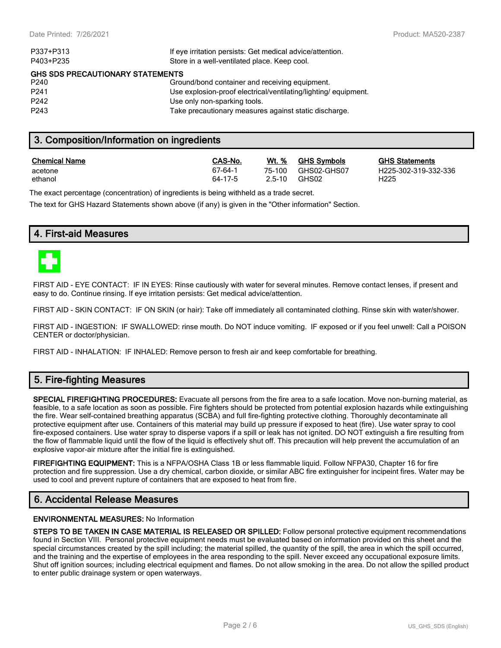| P337+P313                               | If eye irritation persists: Get medical advice/attention.       |  |  |  |
|-----------------------------------------|-----------------------------------------------------------------|--|--|--|
| P403+P235                               | Store in a well-ventilated place. Keep cool.                    |  |  |  |
| <b>GHS SDS PRECAUTIONARY STATEMENTS</b> |                                                                 |  |  |  |
| P240                                    | Ground/bond container and receiving equipment.                  |  |  |  |
| P <sub>241</sub>                        | Use explosion-proof electrical/ventilating/lighting/ equipment. |  |  |  |
| P242                                    | Use only non-sparking tools.                                    |  |  |  |
| P <sub>243</sub>                        | Take precautionary measures against static discharge.           |  |  |  |
|                                         |                                                                 |  |  |  |

## **3. Composition/Information on ingredients**

| <b>Chemical Name</b> | CAS-No. | Wt. %  | <b>GHS Symbols</b> | <u>GHS</u>       |
|----------------------|---------|--------|--------------------|------------------|
| acetone              | 67-64-1 | 75-100 | GHS02-GHS07        | H <sub>225</sub> |
| ethanol              | 64-17-5 | 2.5-10 | GHS02              | H <sub>225</sub> |

**GHS Statements** H225-302-319-332-336

The exact percentage (concentration) of ingredients is being withheld as a trade secret.

The text for GHS Hazard Statements shown above (if any) is given in the "Other information" Section.

## **4. First-aid Measures**



FIRST AID - EYE CONTACT: IF IN EYES: Rinse cautiously with water for several minutes. Remove contact lenses, if present and easy to do. Continue rinsing. If eye irritation persists: Get medical advice/attention.

FIRST AID - SKIN CONTACT: IF ON SKIN (or hair): Take off immediately all contaminated clothing. Rinse skin with water/shower.

FIRST AID - INGESTION: IF SWALLOWED: rinse mouth. Do NOT induce vomiting. IF exposed or if you feel unwell: Call a POISON CENTER or doctor/physician.

FIRST AID - INHALATION: IF INHALED: Remove person to fresh air and keep comfortable for breathing.

## **5. Fire-fighting Measures**

**SPECIAL FIREFIGHTING PROCEDURES:** Evacuate all persons from the fire area to a safe location. Move non-burning material, as feasible, to a safe location as soon as possible. Fire fighters should be protected from potential explosion hazards while extinguishing the fire. Wear self-contained breathing apparatus (SCBA) and full fire-fighting protective clothing. Thoroughly decontaminate all protective equipment after use. Containers of this material may build up pressure if exposed to heat (fire). Use water spray to cool fire-exposed containers. Use water spray to disperse vapors if a spill or leak has not ignited. DO NOT extinguish a fire resulting from the flow of flammable liquid until the flow of the liquid is effectively shut off. This precaution will help prevent the accumulation of an explosive vapor-air mixture after the initial fire is extinguished.

**FIREFIGHTING EQUIPMENT:** This is a NFPA/OSHA Class 1B or less flammable liquid. Follow NFPA30, Chapter 16 for fire protection and fire suppression. Use a dry chemical, carbon dioxide, or similar ABC fire extinguisher for incipeint fires. Water may be used to cool and prevent rupture of containers that are exposed to heat from fire.

## **6. Accidental Release Measures**

#### **ENVIRONMENTAL MEASURES:** No Information

**STEPS TO BE TAKEN IN CASE MATERIAL IS RELEASED OR SPILLED:** Follow personal protective equipment recommendations found in Section VIII. Personal protective equipment needs must be evaluated based on information provided on this sheet and the special circumstances created by the spill including; the material spilled, the quantity of the spill, the area in which the spill occurred, and the training and the expertise of employees in the area responding to the spill. Never exceed any occupational exposure limits. Shut off ignition sources; including electrical equipment and flames. Do not allow smoking in the area. Do not allow the spilled product to enter public drainage system or open waterways.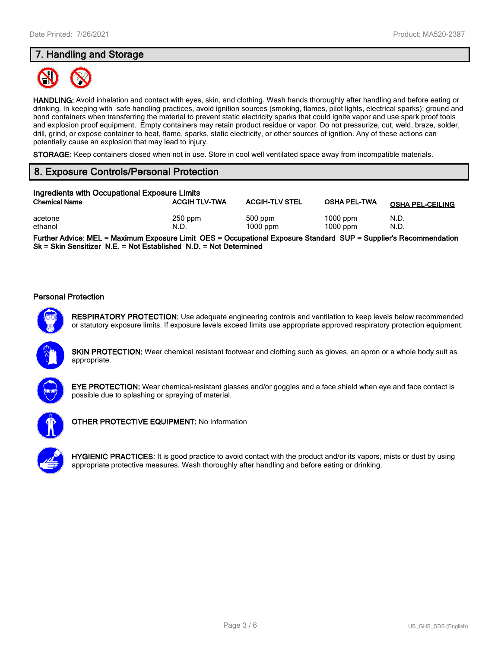## **7. Handling and Storage**



**HANDLING:** Avoid inhalation and contact with eyes, skin, and clothing. Wash hands thoroughly after handling and before eating or drinking. In keeping with safe handling practices, avoid ignition sources (smoking, flames, pilot lights, electrical sparks); ground and bond containers when transferring the material to prevent static electricity sparks that could ignite vapor and use spark proof tools and explosion proof equipment. Empty containers may retain product residue or vapor. Do not pressurize, cut, weld, braze, solder, drill, grind, or expose container to heat, flame, sparks, static electricity, or other sources of ignition. Any of these actions can potentially cause an explosion that may lead to injury.

**STORAGE:** Keep containers closed when not in use. Store in cool well ventilated space away from incompatible materials.

## **8. Exposure Controls/Personal Protection**

| Ingredients with Occupational Exposure Limits |                      |                         |                          |                         |
|-----------------------------------------------|----------------------|-------------------------|--------------------------|-------------------------|
| <b>Chemical Name</b>                          | <b>ACGIH TLV-TWA</b> | <b>ACGIH-TLV STEL</b>   | <b>OSHA PEL-TWA</b>      | <b>OSHA PEL-CEILING</b> |
| acetone<br>ethanol                            | $250$ ppm<br>N.D.    | $500$ ppm<br>$1000$ ppm | $1000$ ppm<br>$1000$ ppm | N.D.<br>N.D.            |

**Further Advice: MEL = Maximum Exposure Limit OES = Occupational Exposure Standard SUP = Supplier's Recommendation Sk = Skin Sensitizer N.E. = Not Established N.D. = Not Determined**

#### **Personal Protection**



**RESPIRATORY PROTECTION:** Use adequate engineering controls and ventilation to keep levels below recommended or statutory exposure limits. If exposure levels exceed limits use appropriate approved respiratory protection equipment.

**SKIN PROTECTION:** Wear chemical resistant footwear and clothing such as gloves, an apron or a whole body suit as appropriate.



**EYE PROTECTION:** Wear chemical-resistant glasses and/or goggles and a face shield when eye and face contact is possible due to splashing or spraying of material.



**OTHER PROTECTIVE EQUIPMENT:** No Information



**HYGIENIC PRACTICES:** It is good practice to avoid contact with the product and/or its vapors, mists or dust by using appropriate protective measures. Wash thoroughly after handling and before eating or drinking.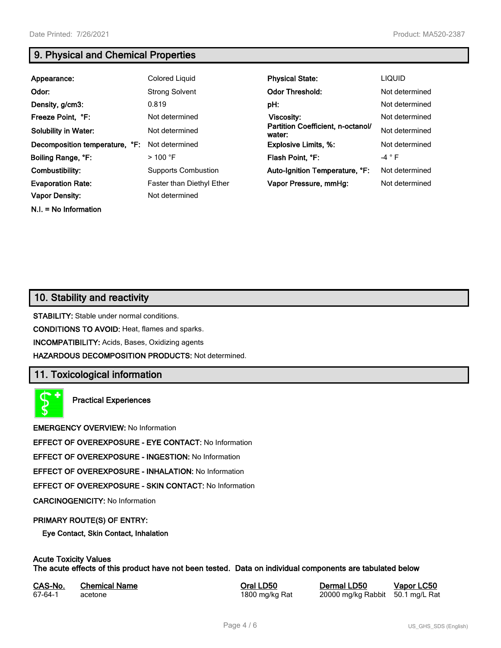**N.I. = No Information**

## **9. Physical and Chemical Properties**

| Appearance:                    | Colored Liquid                   | <b>Physical State:</b>                      | <b>LIQUID</b>  |
|--------------------------------|----------------------------------|---------------------------------------------|----------------|
| Odor:                          | <b>Strong Solvent</b>            | <b>Odor Threshold:</b>                      | Not determined |
| Density, g/cm3:                | 0.819                            | pH:                                         | Not determined |
| Freeze Point, °F:              | Not determined                   | Viscosity:                                  | Not determined |
| <b>Solubility in Water:</b>    | Not determined                   | Partition Coefficient, n-octanol/<br>water: | Not determined |
| Decomposition temperature, °F: | Not determined                   | <b>Explosive Limits, %:</b>                 | Not determined |
| Boiling Range, °F:             | $>$ 100 °F                       | Flash Point, °F:                            | $-4$ $\circ$ F |
| Combustibility:                | <b>Supports Combustion</b>       | Auto-Ignition Temperature, °F:              | Not determined |
| <b>Evaporation Rate:</b>       | <b>Faster than Diethyl Ether</b> | Vapor Pressure, mmHg:                       | Not determined |
| <b>Vapor Density:</b>          | Not determined                   |                                             |                |

## **10. Stability and reactivity**

**STABILITY:** Stable under normal conditions.

**CONDITIONS TO AVOID:** Heat, flames and sparks.

**INCOMPATIBILITY:** Acids, Bases, Oxidizing agents

**HAZARDOUS DECOMPOSITION PRODUCTS:** Not determined.

## **11. Toxicological information**

**Practical Experiences**

**EMERGENCY OVERVIEW:** No Information

**EFFECT OF OVEREXPOSURE - EYE CONTACT:** No Information

**EFFECT OF OVEREXPOSURE - INGESTION:** No Information

**EFFECT OF OVEREXPOSURE - INHALATION:** No Information

**EFFECT OF OVEREXPOSURE - SKIN CONTACT:** No Information

**CARCINOGENICITY:** No Information

#### **PRIMARY ROUTE(S) OF ENTRY:**

**Eye Contact, Skin Contact, Inhalation**

## **Acute Toxicity Values**

**The acute effects of this product have not been tested. Data on individual components are tabulated below**

| CAS-No. | <b>Chemical Name</b> |
|---------|----------------------|
| 67-64-1 | acetone              |

**Casary Chemical Chemical LD50 Chemical LD50 Vapor LC50** 1800 mg/kg Rat 20000 mg/kg Rabbit 50.1 mg/L Rat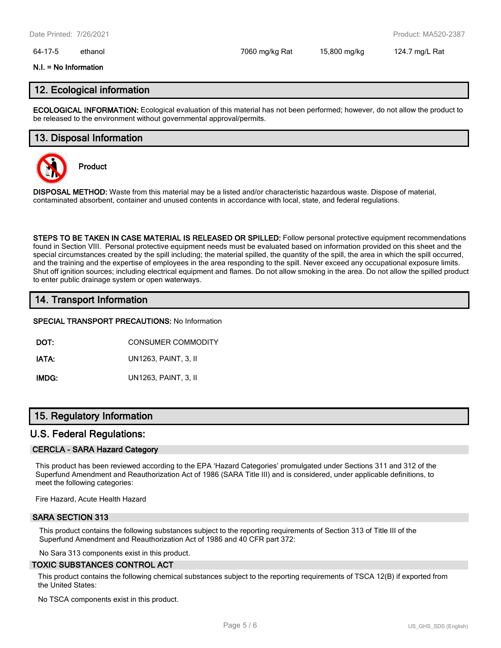#### 64-17-5 ethanol 7060 mg/kg Rat 15,800 mg/kg 124.7 mg/L Rat

#### **N.I. = No Information**

## **12. Ecological information**

**ECOLOGICAL INFORMATION:** Ecological evaluation of this material has not been performed; however, do not allow the product to be released to the environment without governmental approval/permits.

### **13. Disposal Information**



**Product**

**DISPOSAL METHOD:** Waste from this material may be a listed and/or characteristic hazardous waste. Dispose of material, contaminated absorbent, container and unused contents in accordance with local, state, and federal regulations.

**STEPS TO BE TAKEN IN CASE MATERIAL IS RELEASED OR SPILLED:** Follow personal protective equipment recommendations found in Section VIII. Personal protective equipment needs must be evaluated based on information provided on this sheet and the special circumstances created by the spill including; the material spilled, the quantity of the spill, the area in which the spill occurred, and the training and the expertise of employees in the area responding to the spill. Never exceed any occupational exposure limits. Shut off ignition sources; including electrical equipment and flames. Do not allow smoking in the area. Do not allow the spilled product to enter public drainage system or open waterways.

## **14. Transport Information**

#### **SPECIAL TRANSPORT PRECAUTIONS:** No Information

**DOT:** CONSUMER COMMODITY

**IATA:** UN1263, PAINT, 3, II

**IMDG:** UN1263, PAINT, 3, II

## **15. Regulatory Information**

#### **U.S. Federal Regulations:**

#### **CERCLA - SARA Hazard Category**

This product has been reviewed according to the EPA 'Hazard Categories' promulgated under Sections 311 and 312 of the Superfund Amendment and Reauthorization Act of 1986 (SARA Title III) and is considered, under applicable definitions, to meet the following categories:

Fire Hazard, Acute Health Hazard

#### **SARA SECTION 313**

This product contains the following substances subject to the reporting requirements of Section 313 of Title III of the Superfund Amendment and Reauthorization Act of 1986 and 40 CFR part 372:

No Sara 313 components exist in this product.

#### **TOXIC SUBSTANCES CONTROL ACT**

This product contains the following chemical substances subject to the reporting requirements of TSCA 12(B) if exported from the United States:

No TSCA components exist in this product.